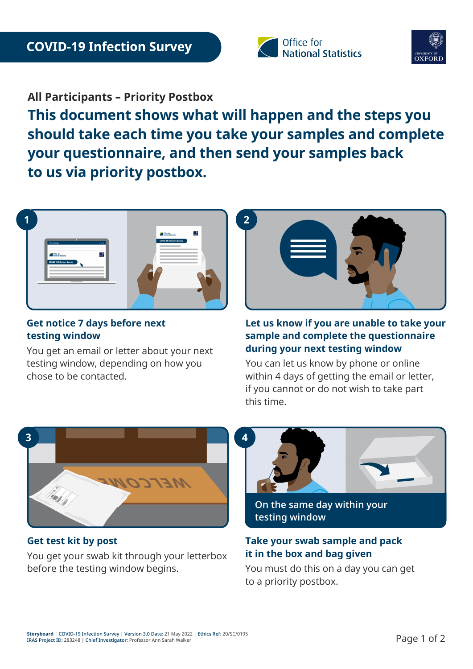



**All Participants – Priority Postbox**

**This document shows what will happen and the steps you should take each time you take your samples and complete your questionnaire, and then send your samples back to us via priority postbox.** 



## **Get notice 7 days before next testing window**

You get an email or letter about your next testing window, depending on how you chose to be contacted.



### **Let us know if you are unable to take your sample and complete the questionnaire during your next testing window**

You can let us know by phone or online within 4 days of getting the email or letter, if you cannot or do not wish to take part this time.



**Get test kit by post** You get your swab kit through your letterbox before the testing window begins.



**testing window**

# **Take your swab sample and pack it in the box and bag given**

You must do this on a day you can get to a priority postbox.